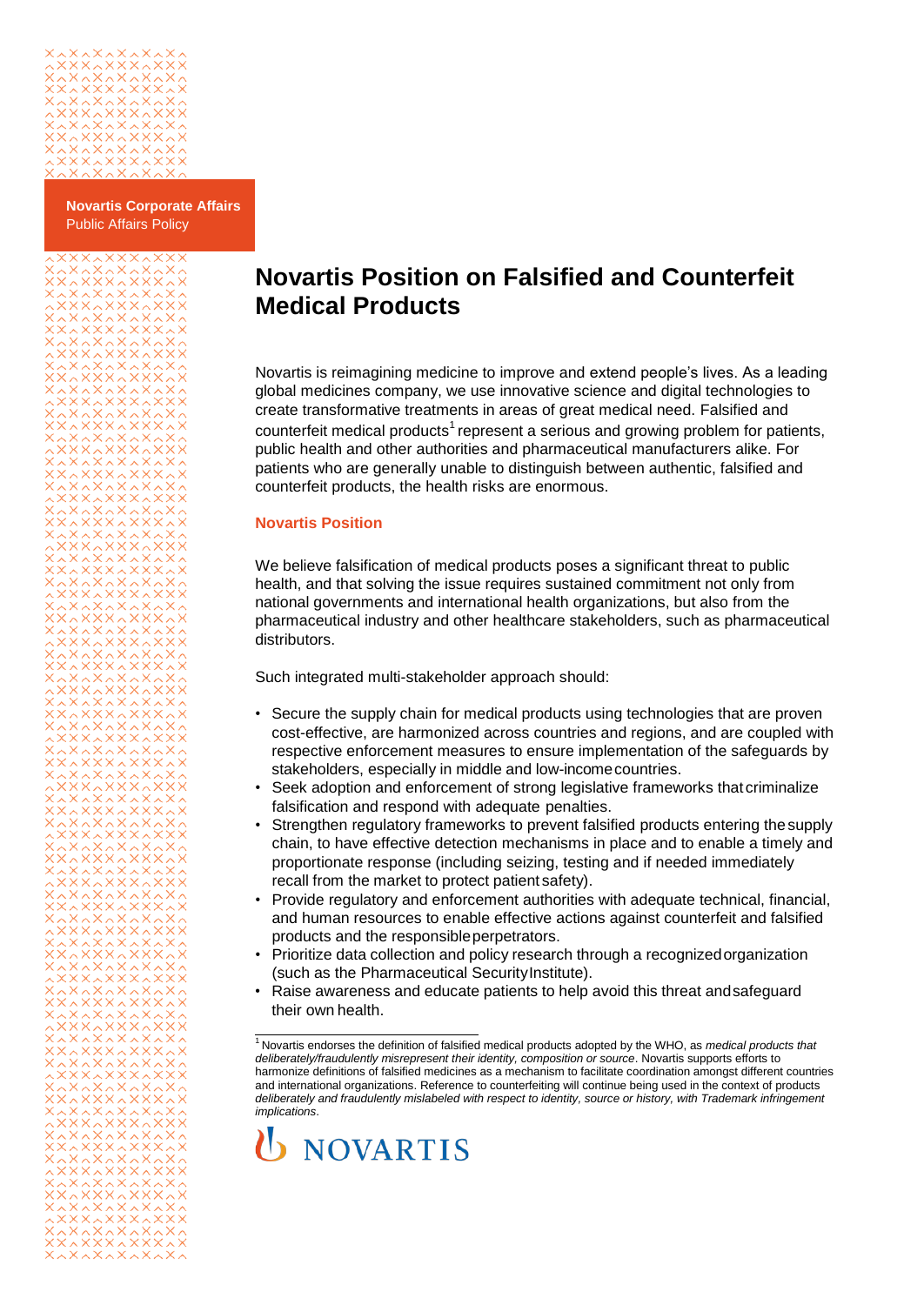

**Novartis Corporate Affairs** Public Affairs Policy

## 

## **Novartis Position on Falsified and Counterfeit Medical Products**

Novartis is reimagining medicine to improve and extend people's lives. As a leading global medicines company, we use innovative science and digital technologies to create transformative treatments in areas of great medical need. Falsified and counterfeit medical product[s](#page-0-0)<sup>1</sup> represent a serious and growing problem for patients, public health and other authorities and pharmaceutical manufacturers alike. For patients who are generally unable to distinguish between authentic, falsified and counterfeit products, the health risks are enormous.

## **Novartis Position**

We believe falsification of medical products poses a significant threat to public health, and that solving the issue requires sustained commitment not only from national governments and international health organizations, but also from the pharmaceutical industry and other healthcare stakeholders, such as pharmaceutical distributors.

Such integrated multi-stakeholder approach should:

- Secure the supply chain for medical products using technologies that are proven cost-effective, are harmonized across countries and regions, and are coupled with respective enforcement measures to ensure implementation of the safeguards by stakeholders, especially in middle and low-incomecountries.
- Seek adoption and enforcement of strong legislative frameworks that criminalize falsification and respond with adequate penalties.
- Strengthen regulatory frameworks to prevent falsified products entering thesupply chain, to have effective detection mechanisms in place and to enable a timely and proportionate response (including seizing, testing and if needed immediately recall from the market to protect patient safety).
- Provide regulatory and enforcement authorities with adequate technical, financial, and human resources to enable effective actions against counterfeit and falsified products and the responsible perpetrators.
- Prioritize data collection and policy research through a recognizedorganization (such as the Pharmaceutical SecurityInstitute).
- Raise awareness and educate patients to help avoid this threat andsafeguard their own health.

<span id="page-0-0"></span><sup>1</sup>Novartis endorses the definition of falsified medical products adopted by the WHO, as *medical products that deliberately/fraudulently misrepresent their identity, composition or source*. Novartis supports efforts to harmonize definitions of falsified medicines as a mechanism to facilitate coordination amongst different countries and international organizations. Reference to counterfeiting will continue being used in the context of products *deliberately and fraudulently mislabeled with respect to identity, source or history, with Trademark infringement implications*.